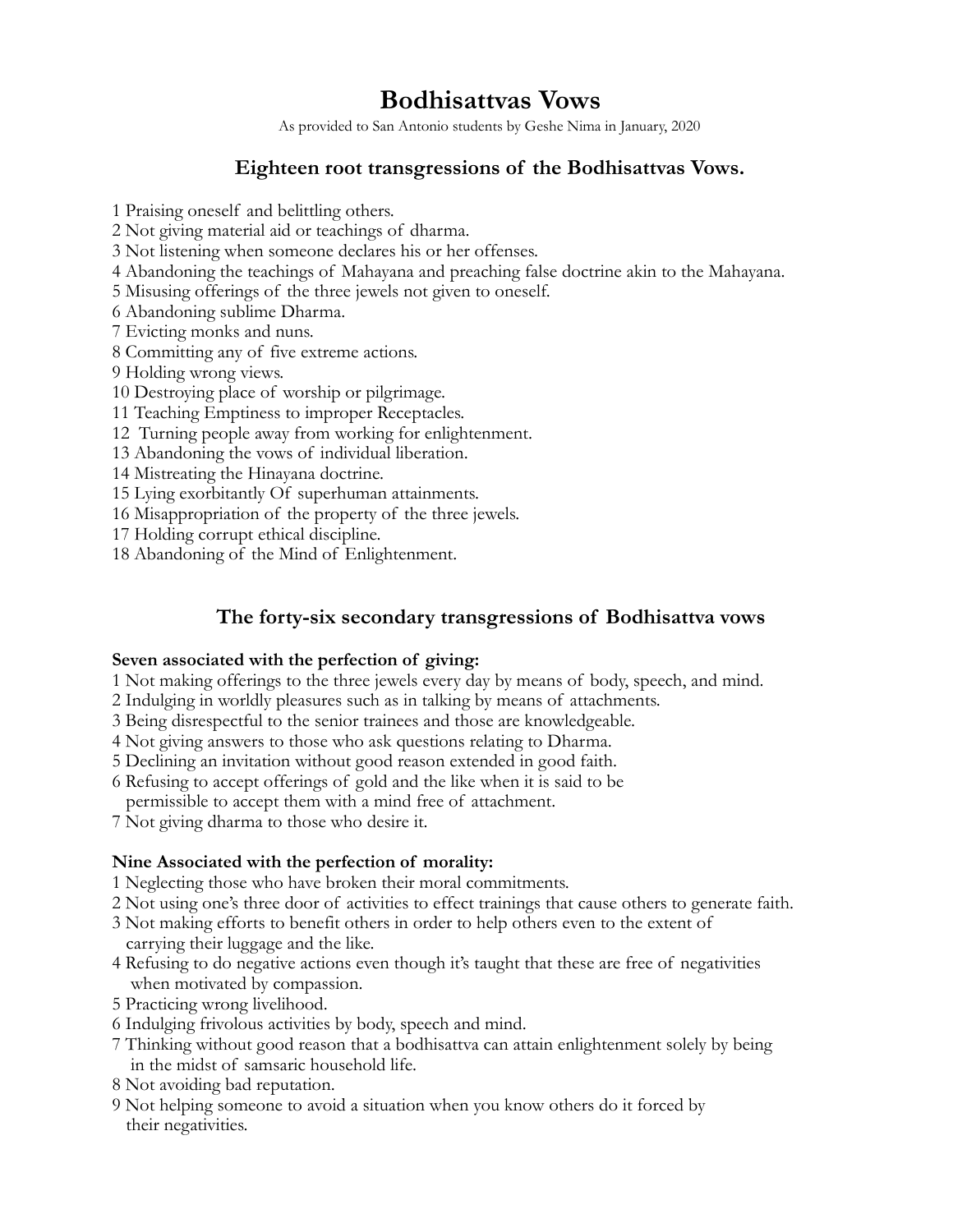# **Bodhisattvas Vows**

As provided to San Antonio students by Geshe Nima in January, 2020

## **Eighteen root transgressions of the Bodhisattvas Vows.**

1 Praising oneself and belittling others.

2 Not giving material aid or teachings of dharma.

3 Not listening when someone declares his or her offenses.

4 Abandoning the teachings of Mahayana and preaching false doctrine akin to the Mahayana.

5 Misusing offerings of the three jewels not given to oneself.

6 Abandoning sublime Dharma.

7 Evicting monks and nuns.

8 Committing any of five extreme actions.

9 Holding wrong views.

10 Destroying place of worship or pilgrimage.

- 11 Teaching Emptiness to improper Receptacles.
- 12 Turning people away from working for enlightenment.

13 Abandoning the vows of individual liberation.

14 Mistreating the Hinayana doctrine.

15 Lying exorbitantly Of superhuman attainments.

16 Misappropriation of the property of the three jewels.

17 Holding corrupt ethical discipline.

18 Abandoning of the Mind of Enlightenment.

### **The forty-six secondary transgressions of Bodhisattva vows**

#### **Seven associated with the perfection of giving:**

1 Not making offerings to the three jewels every day by means of body, speech, and mind.

- 2 Indulging in worldly pleasures such as in talking by means of attachments.
- 3 Being disrespectful to the senior trainees and those are knowledgeable.
- 4 Not giving answers to those who ask questions relating to Dharma.
- 5 Declining an invitation without good reason extended in good faith.
- 6 Refusing to accept offerings of gold and the like when it is said to be

permissible to accept them with a mind free of attachment.

7 Not giving dharma to those who desire it.

#### **Nine Associated with the perfection of morality:**

- 1 Neglecting those who have broken their moral commitments.
- 2 Not using one's three door of activities to effect trainings that cause others to generate faith.
- 3 Not making efforts to benefit others in order to help others even to the extent of carrying their luggage and the like.
- 4 Refusing to do negative actions even though it's taught that these are free of negativities when motivated by compassion.
- 5 Practicing wrong livelihood.
- 6 Indulging frivolous activities by body, speech and mind.
- 7 Thinking without good reason that a bodhisattva can attain enlightenment solely by being in the midst of samsaric household life.
- 8 Not avoiding bad reputation.
- 9 Not helping someone to avoid a situation when you know others do it forced by their negativities.